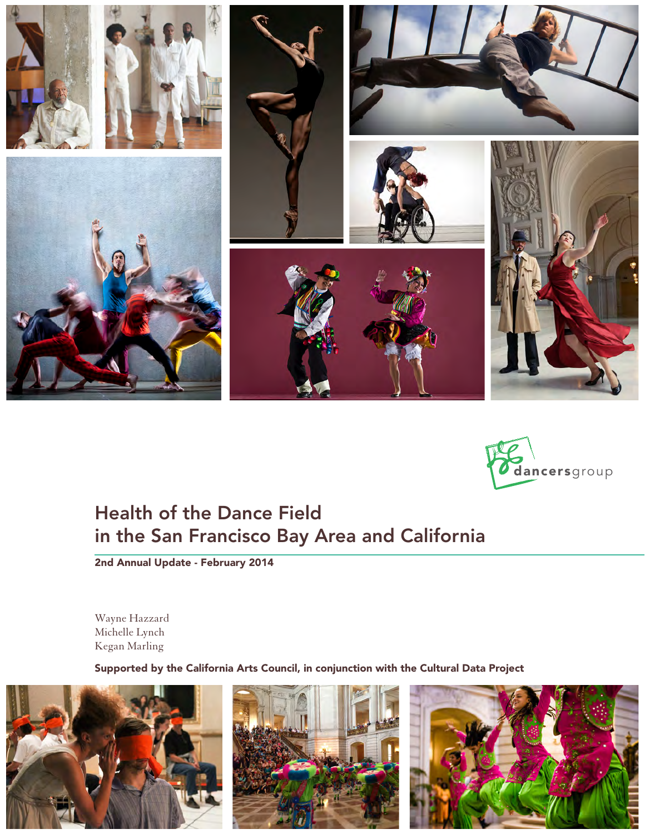



# Health of the Dance Field in the San Francisco Bay Area and California

2nd Annual Update - February 2014

Wayne Hazzard Michelle Lynch Kegan Marling

Supported by the California Arts Council, in conjunction with the Cultural Data Project





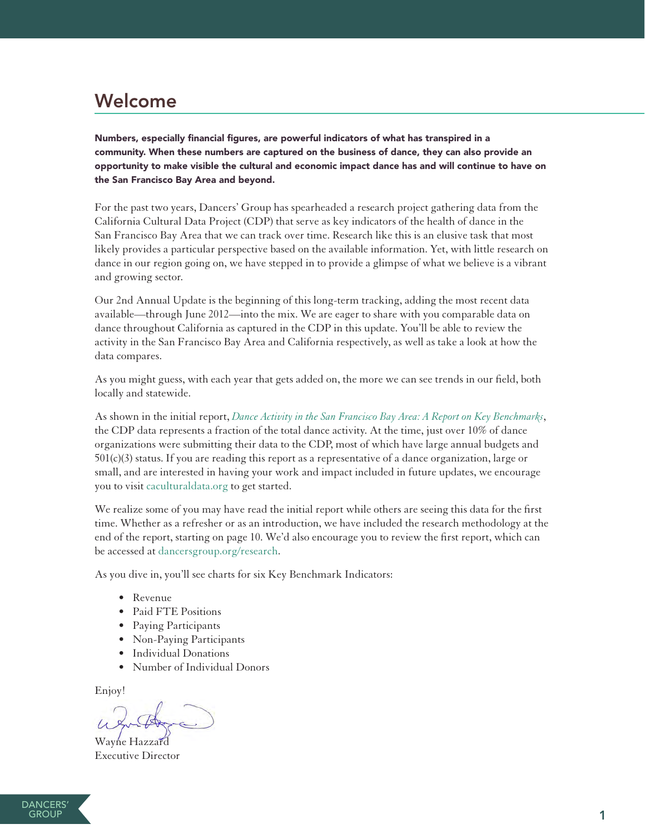# Welcome

Numbers, especially financial figures, are powerful indicators of what has transpired in a community. When these numbers are captured on the business of dance, they can also provide an opportunity to make visible the cultural and economic impact dance has and will continue to have on the San Francisco Bay Area and beyond.

For the past two years, Dancers' Group has spearheaded a research project gathering data from the California Cultural Data Project (CDP) that serve as key indicators of the health of dance in the San Francisco Bay Area that we can track over time. Research like this is an elusive task that most likely provides a particular perspective based on the available information. Yet, with little research on dance in our region going on, we have stepped in to provide a glimpse of what we believe is a vibrant and growing sector.

Our 2nd Annual Update is the beginning of this long-term tracking, adding the most recent data available—through June 2012—into the mix. We are eager to share with you comparable data on dance throughout California as captured in the CDP in this update. You'll be able to review the activity in the San Francisco Bay Area and California respectively, as well as take a look at how the data compares.

As you might guess, with each year that gets added on, the more we can see trends in our field, both locally and statewide.

As shown in the initial report, *[Dance Activity in the San Francisco Bay Area: A Report on Key Benchmarks](http://www.dancersgroup.org/research)*, the CDP data represents a fraction of the total dance activity. At the time, just over 10% of dance organizations were submitting their data to the CDP, most of which have large annual budgets and 501(c)(3) status. If you are reading this report as a representative of a dance organization, large or small, and are interested in having your work and impact included in future updates, we encourage you to visit [caculturaldata.org](http://www.caculturaldata.org) to get started.

We realize some of you may have read the initial report while others are seeing this data for the first time. Whether as a refresher or as an introduction, we have included the research methodology at the end of the report, starting on page 10. We'd also encourage you to review the first report, which can be accessed at [dancersgroup.org/research.](http://www.dancersgroup.org/research)

As you dive in, you'll see charts for six Key Benchmark Indicators:

- Revenue
- • Paid FTE Positions
- • Paying Participants
- Non-Paying Participants
- • Individual Donations
- Number of Individual Donors

Enjoy!

Wayne Hazzard Executive Director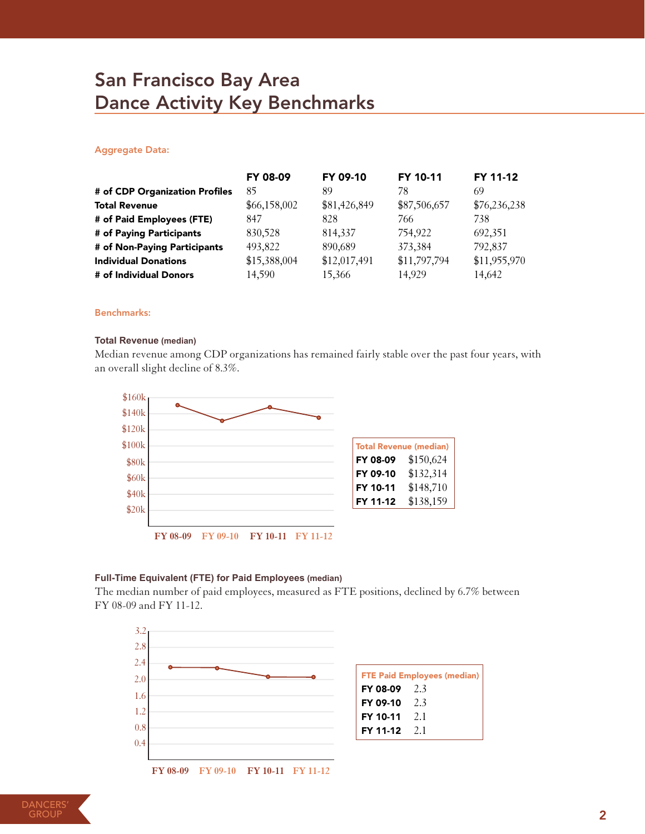# San Francisco Bay Area Dance Activity Key Benchmarks

# Aggregate Data:

|                                | FY 08-09     | FY 09-10     | FY 10-11     | FY 11-12     |
|--------------------------------|--------------|--------------|--------------|--------------|
| # of CDP Organization Profiles | 85           | 89           | 78           | 69           |
| <b>Total Revenue</b>           | \$66,158,002 | \$81,426,849 | \$87,506,657 | \$76,236,238 |
| # of Paid Employees (FTE)      | 847          | 828          | 766          | 738          |
| # of Paying Participants       | 830,528      | 814,337      | 754,922      | 692,351      |
| # of Non-Paying Participants   | 493,822      | 890,689      | 373,384      | 792,837      |
| <b>Individual Donations</b>    | \$15,388,004 | \$12,017,491 | \$11,797,794 | \$11,955,970 |
| # of Individual Donors         | 14,590       | 15,366       | 14,929       | 14,642       |

#### Benchmarks:

#### **Total Revenue (median)**

Median revenue among CDP organizations has remained fairly stable over the past four years, with an overall slight decline of 8.3%.



#### **Full-Time Equivalent (FTE) for Paid Employees (median)**

The median number of paid employees, measured as FTE positions, declined by 6.7% between FY 08-09 and FY 11-12.



**DANCERS GROUF**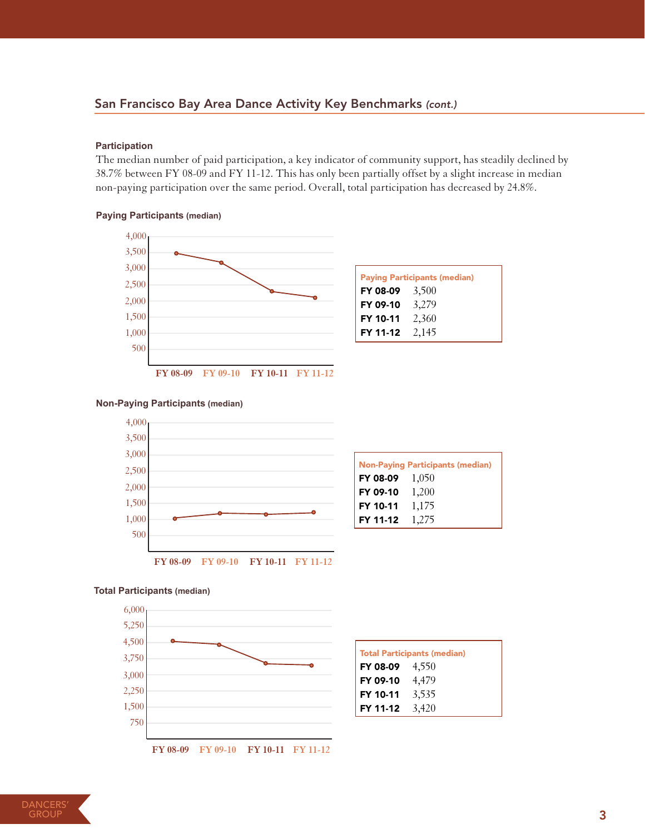# San Francisco Bay Area Dance Activity Key Benchmarks *(cont.)*

## **Participation**

The median number of paid participation, a key indicator of community support, has steadily declined by 38.7% between FY 08-09 and FY 11-12. This has only been partially offset by a slight increase in median non-paying participation over the same period. Overall, total participation has decreased by 24.8%.

### **Paying Participants (median)**





| <b>Non-Paying Participants (median)</b> |       |  |
|-----------------------------------------|-------|--|
| FY 08-09 $1,050$                        |       |  |
| FY 09-10                                | 1,200 |  |
| FY 10-11                                | 1,175 |  |
| FY 11-12                                | 1,275 |  |

Total Participants (median) FY 08-09 4,550 FY 09-10 4,479 FY 10-11 3,535 FY 11-12 3,420

#### **Total Participants (median)**



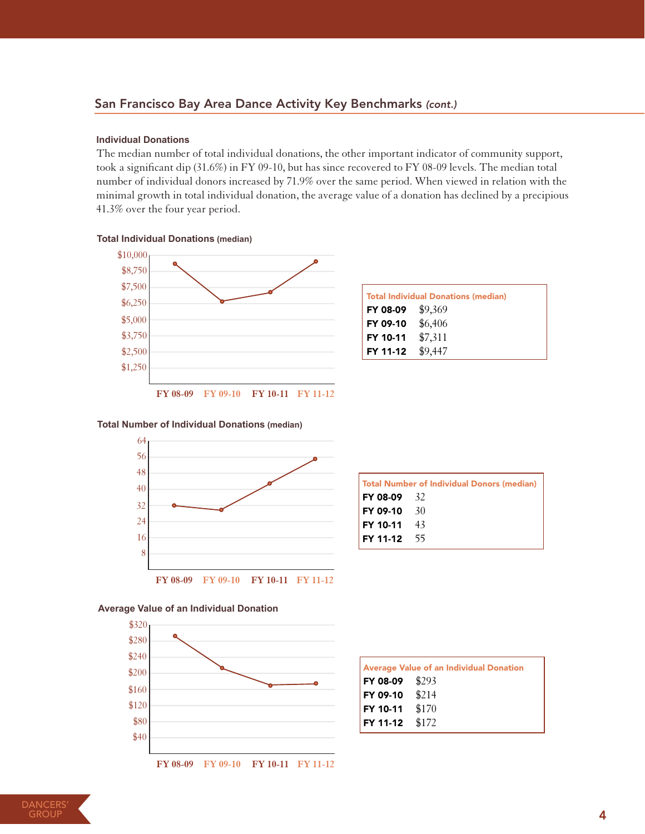# San Francisco Bay Area Dance Activity Key Benchmarks *(cont.)*

#### **Individual Donations**

The median number of total individual donations, the other important indicator of community support, took a significant dip (31.6%) in FY 09-10, but has since recovered to FY 08-09 levels. The median total number of individual donors increased by 71.9% over the same period. When viewed in relation with the minimal growth in total individual donation, the average value of a donation has declined by a precipious 41.3% over the four year period.

### **Total Individual Donations (median)**



| <b>Total Individual Donations (median)</b> |         |  |
|--------------------------------------------|---------|--|
| FY 08-09                                   | \$9,369 |  |
| FY 09-10                                   | \$6,406 |  |
| FY 10-11                                   | \$7,311 |  |
| FY 11-12                                   | \$9,447 |  |

#### **Total Number of Individual Donations (median)**



| Total Number of Individual Donors (median) |  |  |
|--------------------------------------------|--|--|
| $FY$ 08-09 32                              |  |  |
| $FY$ 09-10 $30$                            |  |  |
| $FY$ 10-11 $43$                            |  |  |
| $FY$ 11-12 55                              |  |  |

## **Average Value of an Individual Donation**



|                 | <b>Average Value of an Individual Donation</b> |
|-----------------|------------------------------------------------|
| FY 08-09 $$293$ |                                                |
| FY 09-10 $$214$ |                                                |
| FY 10-11 $$170$ |                                                |
| FY 11-12 $$172$ |                                                |

**FY 08-09 FY 09-10 FY 10-11 FY 11-12**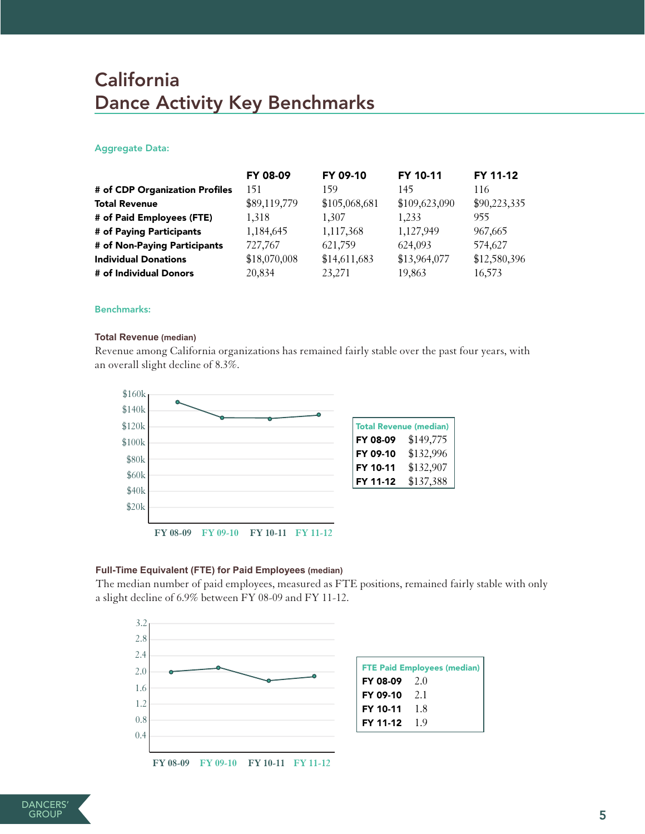# **California** Dance Activity Key Benchmarks

## Aggregate Data:

|                                | FY 08-09     | FY 09-10      | FY 10-11      | FY 11-12     |
|--------------------------------|--------------|---------------|---------------|--------------|
| # of CDP Organization Profiles | 151          | 159           | 145           | 116          |
| <b>Total Revenue</b>           | \$89,119,779 | \$105,068,681 | \$109,623,090 | \$90,223,335 |
| # of Paid Employees (FTE)      | 1.318        | 1.307         | 1,233         | 955          |
| # of Paying Participants       | 1,184,645    | 1,117,368     | 1,127,949     | 967,665      |
| # of Non-Paying Participants   | 727,767      | 621,759       | 624,093       | 574,627      |
| <b>Individual Donations</b>    | \$18,070,008 | \$14,611,683  | \$13,964,077  | \$12,580,396 |
| # of Individual Donors         | 20,834       | 23,271        | 19,863        | 16,573       |

#### Benchmarks:

#### **Total Revenue (median)**

Revenue among California organizations has remained fairly stable over the past four years, with an overall slight decline of 8.3%.



## **Full-Time Equivalent (FTE) for Paid Employees (median)**

The median number of paid employees, measured as FTE positions, remained fairly stable with only a slight decline of 6.9% between FY 08-09 and FY 11-12.



**FY 08-09 FY 09-10 FY 10-11 FY 11-12**

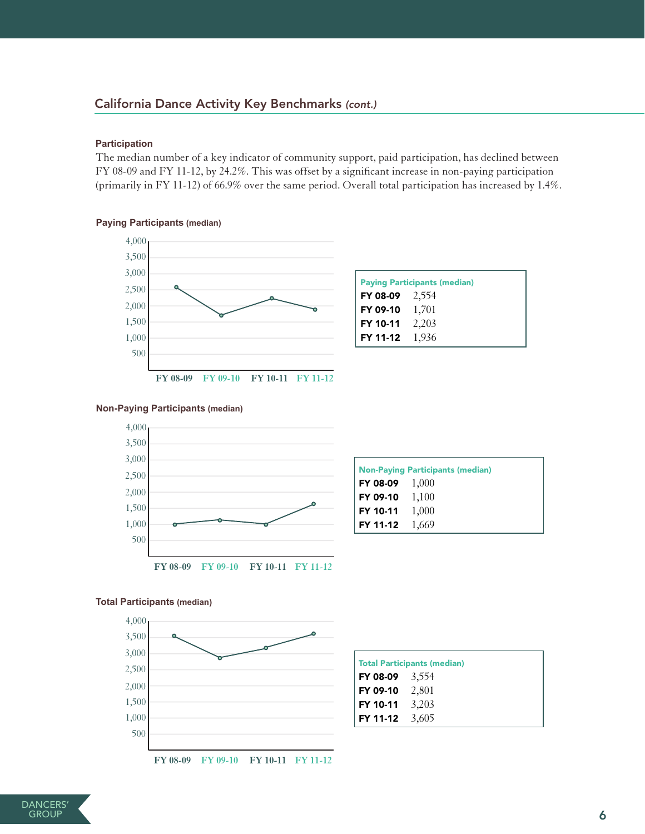# California Dance Activity Key Benchmarks *(cont.)*

#### **Participation**

The median number of a key indicator of community support, paid participation, has declined between FY 08-09 and FY 11-12, by 24.2%. This was offset by a significant increase in non-paying participation (primarily in FY 11-12) of 66.9% over the same period. Overall total participation has increased by 1.4%.

# **Paying Participants (median)**



## **Non-Paying Participants (median)**



| <b>Non-Paying Participants (median)</b> |  |  |
|-----------------------------------------|--|--|
| $\mid$ FY 08-09 $\mid$ 1,000            |  |  |
| $\mid$ FY 09-10 $\mid$ $1,100$          |  |  |
| $\mid$ FY 10-11 $\mid$ $1,000$          |  |  |
| $ $ FY 11-12 1,669                      |  |  |

### **Total Participants (median)**



| <b>Total Participants (median)</b> |  |
|------------------------------------|--|
| FY 08-09 $3,554$                   |  |
| FY 09-10 2,801                     |  |
| FY 10-11 3,203                     |  |
| FY 11-12 $3,605$                   |  |

**FY 08-09 FY 09-10 FY 10-11 FY 11-12**

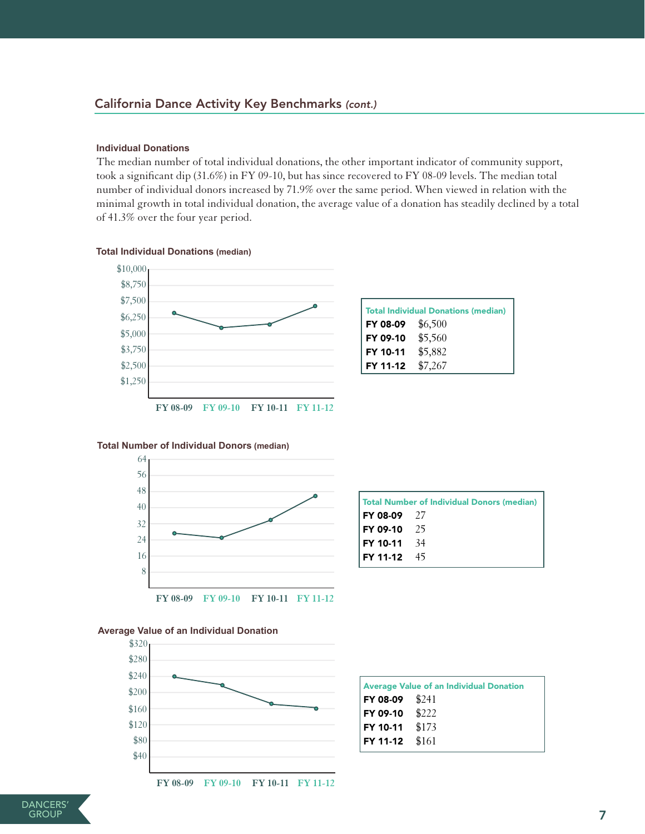# California Dance Activity Key Benchmarks *(cont.)*

#### **Individual Donations**

The median number of total individual donations, the other important indicator of community support, took a significant dip (31.6%) in FY 09-10, but has since recovered to FY 08-09 levels. The median total number of individual donors increased by 71.9% over the same period. When viewed in relation with the minimal growth in total individual donation, the average value of a donation has steadily declined by a total of 41.3% over the four year period.

## **Total Individual Donations (median)**



| <b>Total Individual Donations (median)</b> |         |  |
|--------------------------------------------|---------|--|
| $FY 08-09$ \$6,500                         |         |  |
| FY 09-10                                   | \$5,560 |  |
| FY 10-11                                   | \$5,882 |  |
| FY 11-12                                   | \$7,267 |  |

# **Total Number of Individual Donors (median)**



| Total Number of Individual Donors (median) |  |  |
|--------------------------------------------|--|--|
| $FY$ 08-09 27                              |  |  |
| $FY$ 09-10 25                              |  |  |
| $FY$ 10-11 34                              |  |  |
| $FY$ 11-12 45                              |  |  |

#### **Average Value of an Individual Donation**



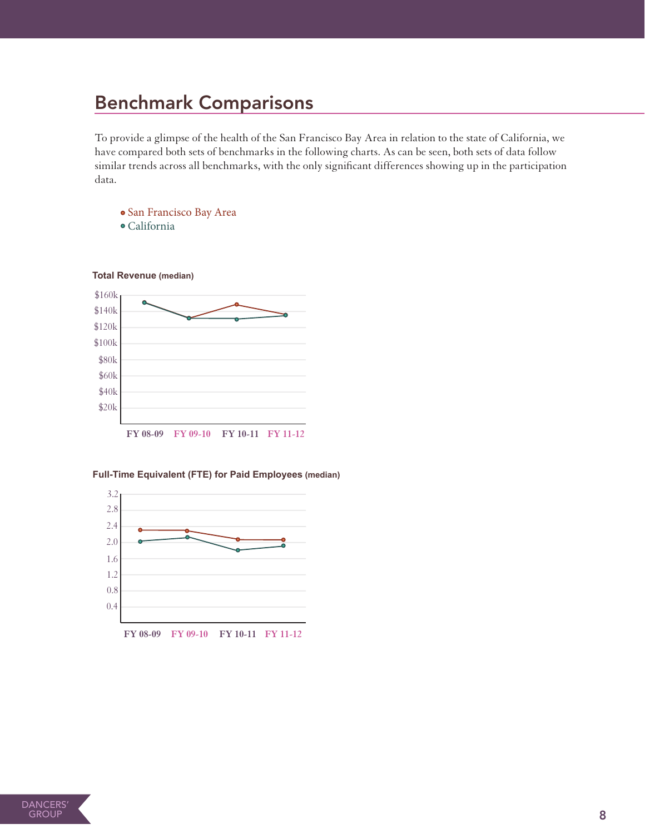# Benchmark Comparisons

To provide a glimpse of the health of the San Francisco Bay Area in relation to the state of California, we have compared both sets of benchmarks in the following charts. As can be seen, both sets of data follow similar trends across all benchmarks, with the only significant differences showing up in the participation data.

San Francisco Bay Area

California



**Full-Time Equivalent (FTE) for Paid Employees (median)**

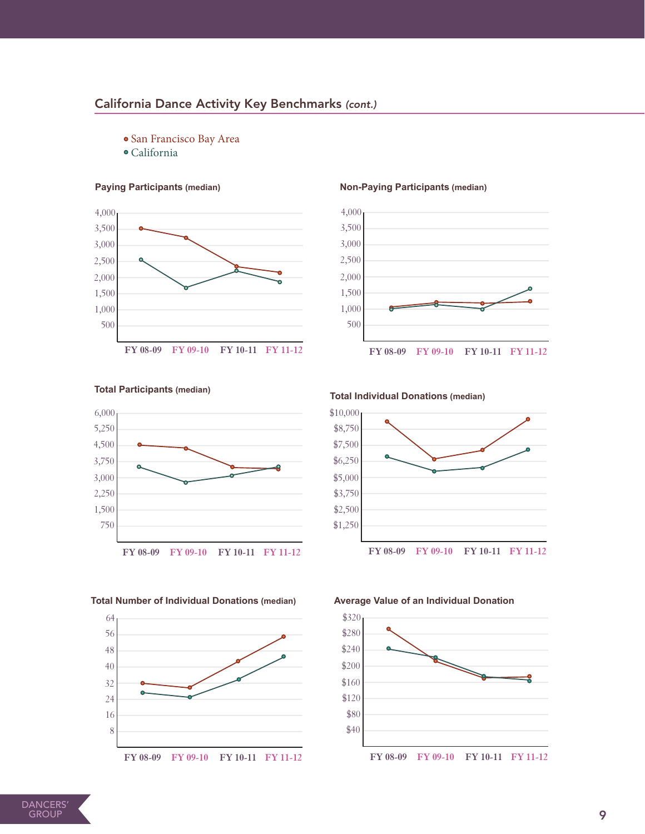# California Dance Activity Key Benchmarks *(cont.)*

- San Francisco Bay Area
- California

#### **Paying Participants (median)**



#### **Non-Paying Participants (median)**



#### **Total Participants (median)**



# **Total Individual Donations (median)**



#### **Total Number of Individual Donations (median)**



#### **Average Value of an Individual Donation**

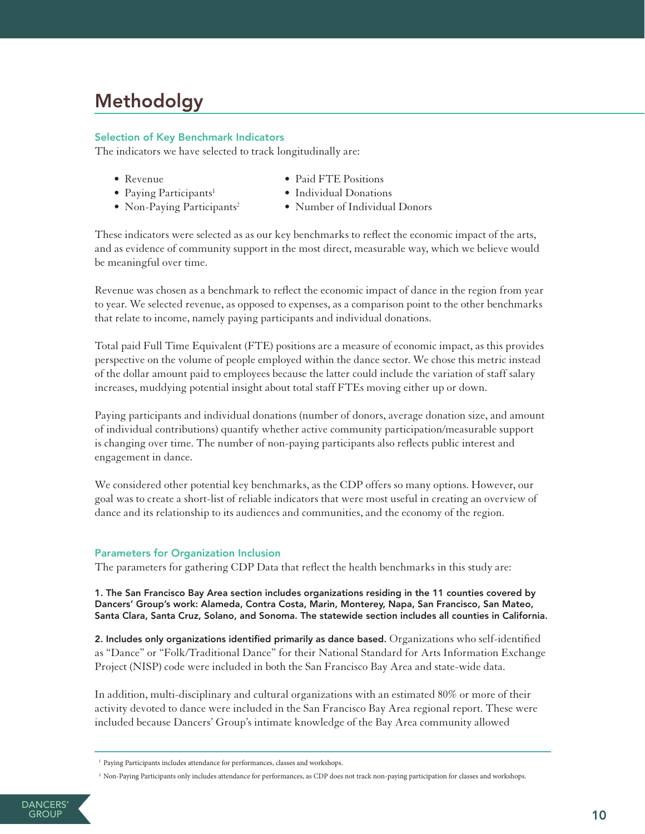# Methodolgy

## Selection of Key Benchmark Indicators

The indicators we have selected to track longitudinally are:

- 
- Paying Participants<sup>1</sup>
- Revenue Paid FTE Positions
	- Individual Donations
- Non-Paying Participants<sup>2</sup>
- Number of Individual Donors

These indicators were selected as as our key benchmarks to reflect the economic impact of the arts, and as evidence of community support in the most direct, measurable way, which we believe would be meaningful over time.

Revenue was chosen as a benchmark to reflect the economic impact of dance in the region from year to year. We selected revenue, as opposed to expenses, as a comparison point to the other benchmarks that relate to income, namely paying participants and individual donations.

Total paid Full Time Equivalent (FTE) positions are a measure of economic impact, as this provides perspective on the volume of people employed within the dance sector. We chose this metric instead of the dollar amount paid to employees because the latter could include the variation of staff salary increases, muddying potential insight about total staff FTEs moving either up or down.

Paying participants and individual donations (number of donors, average donation size, and amount of individual contributions) quantify whether active community participation/measurable support is changing over time. The number of non-paying participants also reflects public interest and engagement in dance.

We considered other potential key benchmarks, as the CDP offers so many options. However, our goal was to create a short-list of reliable indicators that were most useful in creating an overview of dance and its relationship to its audiences and communities, and the economy of the region.

# Parameters for Organization Inclusion

The parameters for gathering CDP Data that reflect the health benchmarks in this study are:

1. The San Francisco Bay Area section includes organizations residing in the 11 counties covered by Dancers' Group's work: Alameda, Contra Costa, Marin, Monterey, Napa, San Francisco, San Mateo, Santa Clara, Santa Cruz, Solano, and Sonoma. The statewide section includes all counties in California.

2. Includes only organizations identified primarily as dance based. Organizations who self-identified as "Dance" or "Folk/Traditional Dance" for their National Standard for Arts Information Exchange Project (NISP) code were included in both the San Francisco Bay Area and state-wide data.

In addition, multi-disciplinary and cultural organizations with an estimated 80% or more of their activity devoted to dance were included in the San Francisco Bay Area regional report. These were included because Dancers' Group's intimate knowledge of the Bay Area community allowed

<sup>&</sup>lt;sup>1</sup> Paying Participants includes attendance for performances, classes and workshops.

<sup>2</sup> Non-Paying Participants only includes attendance for performances, as CDP does not track non-paying participation for classes and workshops.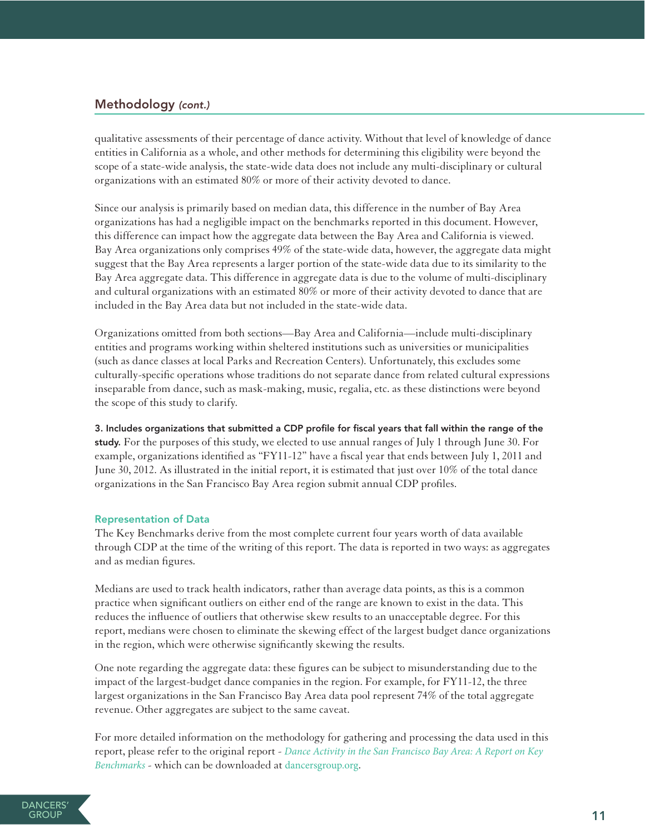# Methodology *(cont.)*

qualitative assessments of their percentage of dance activity. Without that level of knowledge of dance entities in California as a whole, and other methods for determining this eligibility were beyond the scope of a state-wide analysis, the state-wide data does not include any multi-disciplinary or cultural organizations with an estimated 80% or more of their activity devoted to dance.

Since our analysis is primarily based on median data, this difference in the number of Bay Area organizations has had a negligible impact on the benchmarks reported in this document. However, this difference can impact how the aggregate data between the Bay Area and California is viewed. Bay Area organizations only comprises 49% of the state-wide data, however, the aggregate data might suggest that the Bay Area represents a larger portion of the state-wide data due to its similarity to the Bay Area aggregate data. This difference in aggregate data is due to the volume of multi-disciplinary and cultural organizations with an estimated 80% or more of their activity devoted to dance that are included in the Bay Area data but not included in the state-wide data.

Organizations omitted from both sections—Bay Area and California—include multi-disciplinary entities and programs working within sheltered institutions such as universities or municipalities (such as dance classes at local Parks and Recreation Centers). Unfortunately, this excludes some culturally-specific operations whose traditions do not separate dance from related cultural expressions inseparable from dance, such as mask-making, music, regalia, etc. as these distinctions were beyond the scope of this study to clarify.

3. Includes organizations that submitted a CDP profile for fiscal years that fall within the range of the study. For the purposes of this study, we elected to use annual ranges of July 1 through June 30. For example, organizations identified as "FY11-12" have a fiscal year that ends between July 1, 2011 and June 30, 2012. As illustrated in the initial report, it is estimated that just over 10% of the total dance organizations in the San Francisco Bay Area region submit annual CDP profiles.

## Representation of Data

The Key Benchmarks derive from the most complete current four years worth of data available through CDP at the time of the writing of this report. The data is reported in two ways: as aggregates and as median figures.

Medians are used to track health indicators, rather than average data points, as this is a common practice when significant outliers on either end of the range are known to exist in the data. This reduces the influence of outliers that otherwise skew results to an unacceptable degree. For this report, medians were chosen to eliminate the skewing effect of the largest budget dance organizations in the region, which were otherwise significantly skewing the results.

One note regarding the aggregate data: these figures can be subject to misunderstanding due to the impact of the largest-budget dance companies in the region. For example, for FY11-12, the three largest organizations in the San Francisco Bay Area data pool represent 74% of the total aggregate revenue. Other aggregates are subject to the same caveat.

For more detailed information on the methodology for gathering and processing the data used in this report, please refer to the original report - *[Dance Activity in the San Francisco Bay Area: A Report on Key](http://dancersgroup.org/research/)  [Benchmarks](http://dancersgroup.org/research/)* - which can be downloaded at [dancersgroup.org](http://www.dancersgroup.org).